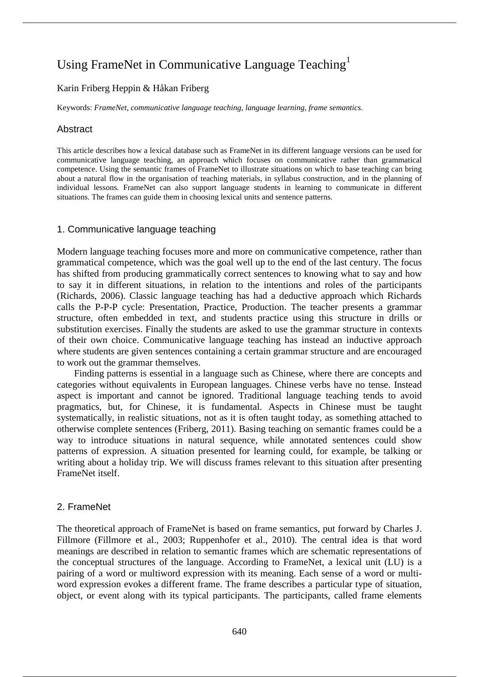# Using FrameNet in Communicative Language Teaching<sup>1</sup>

# Karin Friberg Heppin & Håkan Friberg

Keywords: *FrameNet*, *communicative language teaching*, *language learning*, *frame semantics*.

## **Abstract**

This article describes how a lexical database such as FrameNet in its different language versions can be used for communicative language teaching, an approach which focuses on communicative rather than grammatical competence. Using the semantic frames of FrameNet to illustrate situations on which to base teaching can bring about a natural flow in the organisation of teaching materials, in syllabus construction, and in the planning of individual lessons. FrameNet can also support language students in learning to communicate in different situations. The frames can guide them in choosing lexical units and sentence patterns.

#### 1. Communicative language teaching

Modern language teaching focuses more and more on communicative competence, rather than grammatical competence, which was the goal well up to the end of the last century. The focus has shifted from producing grammatically correct sentences to knowing what to say and how to say it in different situations, in relation to the intentions and roles of the participants (Richards, 2006). Classic language teaching has had a deductive approach which Richards calls the P-P-P cycle: Presentation, Practice, Production. The teacher presents a grammar structure, often embedded in text, and students practice using this structure in drills or substitution exercises. Finally the students are asked to use the grammar structure in contexts of their own choice. Communicative language teaching has instead an inductive approach where students are given sentences containing a certain grammar structure and are encouraged to work out the grammar themselves.

Finding patterns is essential in a language such as Chinese, where there are concepts and categories without equivalents in European languages. Chinese verbs have no tense. Instead aspect is important and cannot be ignored. Traditional language teaching tends to avoid pragmatics, but, for Chinese, it is fundamental. Aspects in Chinese must be taught systematically, in realistic situations, not as it is often taught today, as something attached to otherwise complete sentences (Friberg, 2011). Basing teaching on semantic frames could be a way to introduce situations in natural sequence, while annotated sentences could show patterns of expression. A situation presented for learning could, for example, be talking or writing about a holiday trip. We will discuss frames relevant to this situation after presenting FrameNet itself.

# 2. FrameNet

The theoretical approach of FrameNet is based on frame semantics, put forward by Charles J. Fillmore (Fillmore et al., 2003; Ruppenhofer et al., 2010). The central idea is that word meanings are described in relation to semantic frames which are schematic representations of the conceptual structures of the language. According to FrameNet, a lexical unit (LU) is a pairing of a word or multiword expression with its meaning. Each sense of a word or multiword expression evokes a different frame. The frame describes a particular type of situation, object, or event along with its typical participants. The participants, called frame elements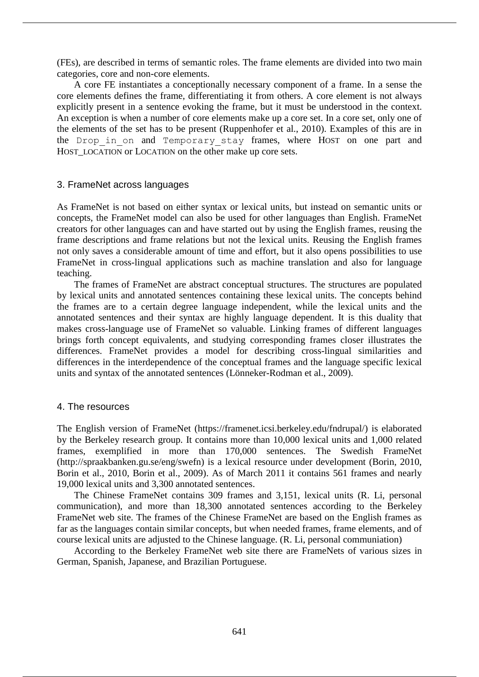(FEs), are described in terms of semantic roles. The frame elements are divided into two main categories, core and non-core elements.

A core FE instantiates a conceptionally necessary component of a frame. In a sense the core elements defines the frame, differentiating it from others. A core element is not always explicitly present in a sentence evoking the frame, but it must be understood in the context. An exception is when a number of core elements make up a core set. In a core set, only one of the elements of the set has to be present (Ruppenhofer et al., 2010). Examples of this are in the Drop in on and Temporary stay frames, where HOST on one part and HOST\_LOCATION or LOCATION on the other make up core sets.

#### 3. FrameNet across languages

As FrameNet is not based on either syntax or lexical units, but instead on semantic units or concepts, the FrameNet model can also be used for other languages than English. FrameNet creators for other languages can and have started out by using the English frames, reusing the frame descriptions and frame relations but not the lexical units. Reusing the English frames not only saves a considerable amount of time and effort, but it also opens possibilities to use FrameNet in cross-lingual applications such as machine translation and also for language teaching.

The frames of FrameNet are abstract conceptual structures. The structures are populated by lexical units and annotated sentences containing these lexical units. The concepts behind the frames are to a certain degree language independent, while the lexical units and the annotated sentences and their syntax are highly language dependent. It is this duality that makes cross-language use of FrameNet so valuable. Linking frames of different languages brings forth concept equivalents, and studying corresponding frames closer illustrates the differences. FrameNet provides a model for describing cross-lingual similarities and differences in the interdependence of the conceptual frames and the language specific lexical units and syntax of the annotated sentences (Lönneker-Rodman et al., 2009).

#### 4. The resources

The English version of FrameNet (https://framenet.icsi.berkeley.edu/fndrupal/) is elaborated by the Berkeley research group. It contains more than 10,000 lexical units and 1,000 related frames, exemplified in more than 170,000 sentences. The Swedish FrameNet (http://spraakbanken.gu.se/eng/swefn) is a lexical resource under development (Borin, 2010, Borin et al., 2010, Borin et al., 2009). As of March 2011 it contains 561 frames and nearly 19,000 lexical units and 3,300 annotated sentences.

The Chinese FrameNet contains 309 frames and 3,151, lexical units (R. Li, personal communication), and more than 18,300 annotated sentences according to the Berkeley FrameNet web site. The frames of the Chinese FrameNet are based on the English frames as far as the languages contain similar concepts, but when needed frames, frame elements, and of course lexical units are adjusted to the Chinese language. (R. Li, personal communiation)

According to the Berkeley FrameNet web site there are FrameNets of various sizes in German, Spanish, Japanese, and Brazilian Portuguese.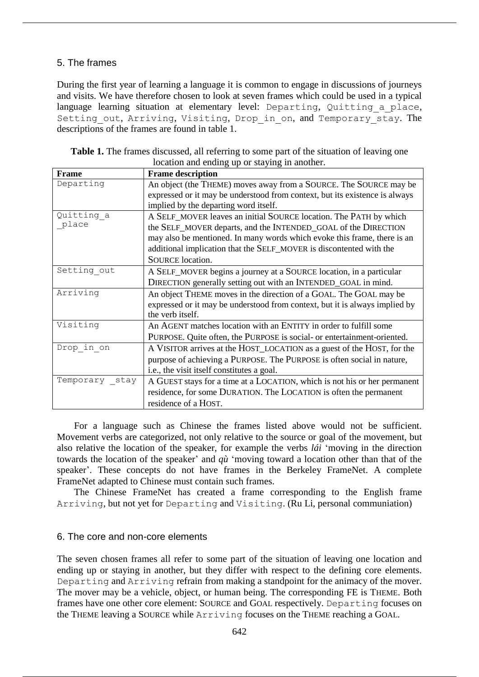## 5. The frames

During the first year of learning a language it is common to engage in discussions of journeys and visits. We have therefore chosen to look at seven frames which could be used in a typical language learning situation at elementary level: Departing, Quitting a place, Setting out, Arriving, Visiting, Drop in on, and Temporary stay. The descriptions of the frames are found in table 1.

| <b>Table 1.</b> The frames discussed, all referring to some part of the situation of leaving one |
|--------------------------------------------------------------------------------------------------|
| location and ending up or staying in another.                                                    |

| <b>Frame</b>   | <b>Frame description</b>                                                    |
|----------------|-----------------------------------------------------------------------------|
| Departing      | An object (the THEME) moves away from a SOURCE. The SOURCE may be           |
|                | expressed or it may be understood from context, but its existence is always |
|                | implied by the departing word itself.                                       |
| Quitting a     | A SELF_MOVER leaves an initial SOURCE location. The PATH by which           |
| place          | the SELF_MOVER departs, and the INTENDED_GOAL of the DIRECTION              |
|                | may also be mentioned. In many words which evoke this frame, there is an    |
|                | additional implication that the SELF_MOVER is discontented with the         |
|                | <b>SOURCE</b> location.                                                     |
| Setting out    | A SELF_MOVER begins a journey at a SOURCE location, in a particular         |
|                | DIRECTION generally setting out with an INTENDED_GOAL in mind.              |
| Arriving       | An object THEME moves in the direction of a GOAL. The GOAL may be           |
|                | expressed or it may be understood from context, but it is always implied by |
|                | the verb itself.                                                            |
| Visiting       | An AGENT matches location with an ENTITY in order to fulfill some           |
|                | PURPOSE. Quite often, the PURPOSE is social- or entertainment-oriented.     |
| Drop in on     | A VISITOR arrives at the HOST_LOCATION as a guest of the HOST, for the      |
|                | purpose of achieving a PURPOSE. The PURPOSE is often social in nature,      |
|                | i.e., the visit itself constitutes a goal.                                  |
| Temporary stay | A GUEST stays for a time at a LOCATION, which is not his or her permanent   |
|                | residence, for some DURATION. The LOCATION is often the permanent           |
|                | residence of a HOST.                                                        |

For a language such as Chinese the frames listed above would not be sufficient. Movement verbs are categorized, not only relative to the source or goal of the movement, but also relative the location of the speaker, for example the verbs *lái* 'moving in the direction towards the location of the speaker' and *qù* 'moving toward a location other than that of the speaker'. These concepts do not have frames in the Berkeley FrameNet. A complete FrameNet adapted to Chinese must contain such frames.

The Chinese FrameNet has created a frame corresponding to the English frame Arriving, but not yet for Departing and Visiting. (Ru Li, personal communiation)

#### 6. The core and non-core elements

The seven chosen frames all refer to some part of the situation of leaving one location and ending up or staying in another, but they differ with respect to the defining core elements. Departing and Arriving refrain from making a standpoint for the animacy of the mover. The mover may be a vehicle, object, or human being. The corresponding FE is THEME. Both frames have one other core element: SOURCE and GOAL respectively. Departing focuses on the THEME leaving a SOURCE while Arriving focuses on the THEME reaching a GOAL.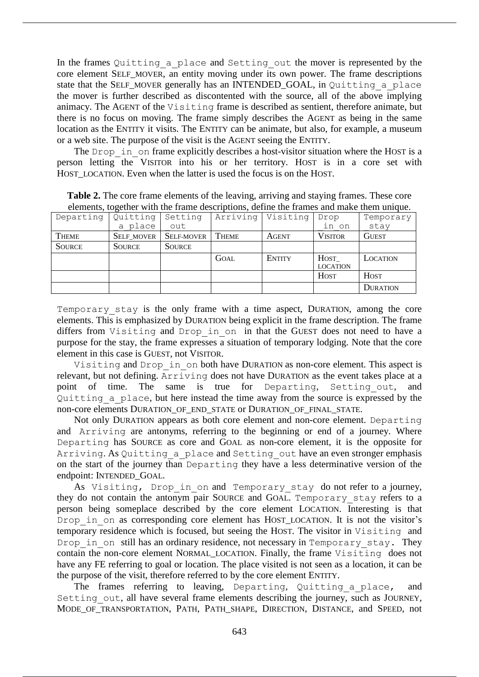In the frames Quitting a place and Setting out the mover is represented by the core element SELF MOVER, an entity moving under its own power. The frame descriptions state that the SELF MOVER generally has an INTENDED GOAL, in Quitting a place the mover is further described as discontented with the source, all of the above implying animacy. The AGENT of the Visiting frame is described as sentient, therefore animate, but there is no focus on moving. The frame simply describes the AGENT as being in the same location as the ENTITY it visits. The ENTITY can be animate, but also, for example, a museum or a web site. The purpose of the visit is the AGENT seeing the ENTITY.

The Drop in on frame explicitly describes a host-visitor situation where the HOST is a person letting the VISITOR into his or her territory. HOST is in a core set with HOST\_LOCATION. Even when the latter is used the focus is on the HOST.

| <u>atemptical competities three era internet medicinal metrics and internet enternet enterne existing</u> |               |                   |              |                     |                 |                 |
|-----------------------------------------------------------------------------------------------------------|---------------|-------------------|--------------|---------------------|-----------------|-----------------|
| Departing                                                                                                 | Quitting      | Setting           |              | Arriving   Visiting | Drop            | Temporary       |
|                                                                                                           | a place       | out               |              |                     | in on           | stay            |
| <b>THEME</b>                                                                                              | SELF_MOVER    | <b>SELF-MOVER</b> | <b>THEME</b> | <b>AGENT</b>        | <b>VISITOR</b>  | <b>GUEST</b>    |
| <b>SOURCE</b>                                                                                             | <b>SOURCE</b> | <b>SOURCE</b>     |              |                     |                 |                 |
|                                                                                                           |               |                   | <b>GOAL</b>  | <b>ENTITY</b>       | HOST            | LOCATION        |
|                                                                                                           |               |                   |              |                     | <b>LOCATION</b> |                 |
|                                                                                                           |               |                   |              |                     | <b>HOST</b>     | <b>HOST</b>     |
|                                                                                                           |               |                   |              |                     |                 | <b>DURATION</b> |

**Table 2.** The core frame elements of the leaving, arriving and staying frames. These core elements, together with the frame descriptions, define the frames and make them unique.

Temporary stay is the only frame with a time aspect, DURATION, among the core elements. This is emphasized by DURATION being explicit in the frame description. The frame differs from Visiting and Drop in on in that the GUEST does not need to have a purpose for the stay, the frame expresses a situation of temporary lodging. Note that the core element in this case is GUEST, not VISITOR.

Visiting and Drop in on both have DURATION as non-core element. This aspect is relevant, but not defining. Arriving does not have DURATION as the event takes place at a point of time. The same is true for Departing, Setting\_out, and Quitting\_a\_place, but here instead the time away from the source is expressed by the non-core elements DURATION OF END STATE or DURATION OF FINAL STATE.

Not only DURATION appears as both core element and non-core element. Departing and Arriving are antonyms, referring to the beginning or end of a journey. Where Departing has SOURCE as core and GOAL as non-core element, it is the opposite for Arriving. As Quitting a place and Setting out have an even stronger emphasis on the start of the journey than Departing they have a less determinative version of the endpoint: INTENDED\_GOAL.

As Visiting, Drop in on and Temporary stay do not refer to a journey, they do not contain the antonym pair SOURCE and GOAL. Temporary stay refers to a person being someplace described by the core element LOCATION. Interesting is that Drop in on as corresponding core element has HOST\_LOCATION. It is not the visitor's temporary residence which is focused, but seeing the HOST. The visitor in Visiting and Drop in on still has an ordinary residence, not necessary in Temporary stay. They contain the non-core element NORMAL\_LOCATION. Finally, the frame Visiting does not have any FE referring to goal or location. The place visited is not seen as a location, it can be the purpose of the visit, therefore referred to by the core element ENTITY.

The frames referring to leaving, Departing, Quitting a place, and Setting out, all have several frame elements describing the journey, such as JOURNEY, MODE\_OF\_TRANSPORTATION, PATH, PATH\_SHAPE, DIRECTION, DISTANCE, and SPEED, not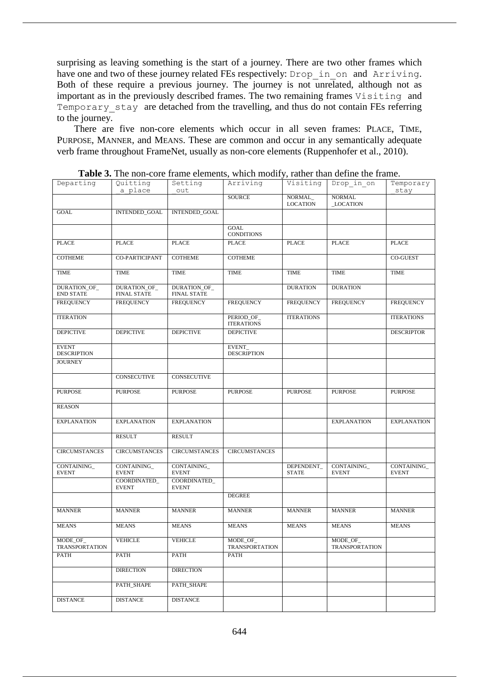surprising as leaving something is the start of a journey. There are two other frames which have one and two of these journey related FEs respectively: Drop\_in\_on and Arriving. Both of these require a previous journey. The journey is not unrelated, although not as important as in the previously described frames. The two remaining frames Visiting and Temporary stay are detached from the travelling, and thus do not contain FEs referring to the journey.

There are five non-core elements which occur in all seven frames: PLACE, TIME, PURPOSE, MANNER, and MEANS. These are common and occur in any semantically adequate verb frame throughout FrameNet, usually as non-core elements (Ruppenhofer et al., 2010).

| Departing                          | Quitting<br>a place                | Setting<br>out                     | Arriving                          | Visiting                   | Drop in on                       | Temporary<br>stay           |
|------------------------------------|------------------------------------|------------------------------------|-----------------------------------|----------------------------|----------------------------------|-----------------------------|
|                                    |                                    |                                    | <b>SOURCE</b>                     | NORMAL_<br><b>LOCATION</b> | <b>NORMAL</b><br><b>LOCATION</b> |                             |
| <b>GOAL</b>                        | INTENDED_GOAL                      | INTENDED_GOAL                      |                                   |                            |                                  |                             |
|                                    |                                    |                                    | GOAL<br><b>CONDITIONS</b>         |                            |                                  |                             |
| <b>PLACE</b>                       | <b>PLACE</b>                       | <b>PLACE</b>                       | <b>PLACE</b>                      | <b>PLACE</b>               | <b>PLACE</b>                     | <b>PLACE</b>                |
| <b>COTHEME</b>                     | CO-PARTICIPANT                     | <b>COTHEME</b>                     | <b>COTHEME</b>                    |                            |                                  | CO-GUEST                    |
| <b>TIME</b>                        | <b>TIME</b>                        | <b>TIME</b>                        | <b>TIME</b>                       | <b>TIME</b>                | <b>TIME</b>                      | <b>TIME</b>                 |
| DURATION_OF_<br><b>END STATE</b>   | DURATION_OF_<br><b>FINAL STATE</b> | DURATION_OF_<br><b>FINAL STATE</b> |                                   | <b>DURATION</b>            | <b>DURATION</b>                  |                             |
| <b>FREQUENCY</b>                   | <b>FREQUENCY</b>                   | <b>FREQUENCY</b>                   | <b>FREQUENCY</b>                  | <b>FREQUENCY</b>           | <b>FREQUENCY</b>                 | <b>FREQUENCY</b>            |
| <b>ITERATION</b>                   |                                    |                                    | PERIOD_OF_<br><b>ITERATIONS</b>   | <b>ITERATIONS</b>          |                                  | <b>ITERATIONS</b>           |
| <b>DEPICTIVE</b>                   | <b>DEPICTIVE</b>                   | <b>DEPICTIVE</b>                   | <b>DEPICTIVE</b>                  |                            |                                  | <b>DESCRIPTOR</b>           |
| <b>EVENT</b><br><b>DESCRIPTION</b> |                                    |                                    | EVENT_<br><b>DESCRIPTION</b>      |                            |                                  |                             |
| <b>JOURNEY</b>                     |                                    |                                    |                                   |                            |                                  |                             |
|                                    | <b>CONSECUTIVE</b>                 | <b>CONSECUTIVE</b>                 |                                   |                            |                                  |                             |
| <b>PURPOSE</b>                     | <b>PURPOSE</b>                     | <b>PURPOSE</b>                     | <b>PURPOSE</b>                    | <b>PURPOSE</b>             | <b>PURPOSE</b>                   | <b>PURPOSE</b>              |
| <b>REASON</b>                      |                                    |                                    |                                   |                            |                                  |                             |
| <b>EXPLANATION</b>                 | <b>EXPLANATION</b>                 | <b>EXPLANATION</b>                 |                                   |                            | <b>EXPLANATION</b>               | <b>EXPLANATION</b>          |
|                                    | <b>RESULT</b>                      | <b>RESULT</b>                      |                                   |                            |                                  |                             |
| <b>CIRCUMSTANCES</b>               | <b>CIRCUMSTANCES</b>               | <b>CIRCUMSTANCES</b>               | <b>CIRCUMSTANCES</b>              |                            |                                  |                             |
| CONTAINING_<br><b>EVENT</b>        | CONTAINING<br><b>EVENT</b>         | CONTAINING<br><b>EVENT</b>         |                                   | DEPENDENT_<br><b>STATE</b> | CONTAINING<br><b>EVENT</b>       | CONTAINING_<br><b>EVENT</b> |
|                                    | COORDINATED_<br><b>EVENT</b>       | COORDINATED_<br><b>EVENT</b>       |                                   |                            |                                  |                             |
|                                    |                                    |                                    | <b>DEGREE</b>                     |                            |                                  |                             |
| <b>MANNER</b>                      | <b>MANNER</b>                      | <b>MANNER</b>                      | <b>MANNER</b>                     | <b>MANNER</b>              | <b>MANNER</b>                    | <b>MANNER</b>               |
| <b>MEANS</b>                       | <b>MEANS</b>                       | <b>MEANS</b>                       | <b>MEANS</b>                      | <b>MEANS</b>               | <b>MEANS</b>                     | <b>MEANS</b>                |
| MODE_OF_<br><b>TRANSPORTATION</b>  | VEHICLE                            | VEHICLE                            | MODE_OF_<br><b>TRANSPORTATION</b> |                            | MODE OF<br><b>TRANSPORTATION</b> |                             |
| <b>PATH</b>                        | PATH                               | PATH                               | PATH                              |                            |                                  |                             |
|                                    | <b>DIRECTION</b>                   | <b>DIRECTION</b>                   |                                   |                            |                                  |                             |
|                                    | PATH_SHAPE                         | PATH_SHAPE                         |                                   |                            |                                  |                             |
| <b>DISTANCE</b>                    | <b>DISTANCE</b>                    | <b>DISTANCE</b>                    |                                   |                            |                                  |                             |

**Table 3.** The non-core frame elements, which modify, rather than define the frame.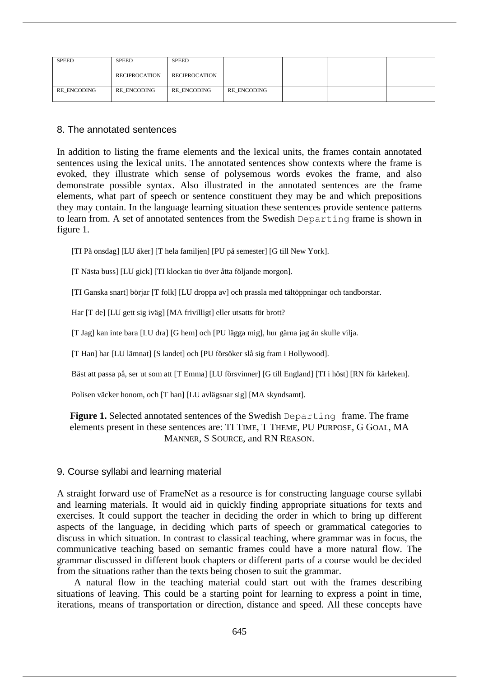| <b>SPEED</b> | <b>SPEED</b>         | <b>SPEED</b>         |             |  |  |
|--------------|----------------------|----------------------|-------------|--|--|
|              | <b>RECIPROCATION</b> | <b>RECIPROCATION</b> |             |  |  |
| RE ENCODING  | RE ENCODING          | RE ENCODING          | RE ENCODING |  |  |

#### 8. The annotated sentences

In addition to listing the frame elements and the lexical units, the frames contain annotated sentences using the lexical units. The annotated sentences show contexts where the frame is evoked, they illustrate which sense of polysemous words evokes the frame, and also demonstrate possible syntax. Also illustrated in the annotated sentences are the frame elements, what part of speech or sentence constituent they may be and which prepositions they may contain. In the language learning situation these sentences provide sentence patterns to learn from. A set of annotated sentences from the Swedish Departing frame is shown in figure 1.

[TI På onsdag] [LU åker] [T hela familjen] [PU på semester] [G till New York].

[T Nästa buss] [LU gick] [TI klockan tio över åtta följande morgon].

[TI Ganska snart] börjar [T folk] [LU droppa av] och prassla med tältöppningar och tandborstar.

Har [T de] [LU gett sig iväg] [MA frivilligt] eller utsatts för brott?

[T Jag] kan inte bara [LU dra] [G hem] och [PU lägga mig], hur gärna jag än skulle vilja.

[T Han] har [LU lämnat] [S landet] och [PU försöker slå sig fram i Hollywood].

Bäst att passa på, ser ut som att [T Emma] [LU försvinner] [G till England] [TI i höst] [RN för kärleken].

Polisen väcker honom, och [T han] [LU avlägsnar sig] [MA skyndsamt].

## **Figure 1.** Selected annotated sentences of the Swedish Departing frame. The frame elements present in these sentences are: TI TIME, T THEME, PU PURPOSE, G GOAL, MA MANNER, S SOURCE, and RN REASON.

#### 9. Course syllabi and learning material

A straight forward use of FrameNet as a resource is for constructing language course syllabi and learning materials. It would aid in quickly finding appropriate situations for texts and exercises. It could support the teacher in deciding the order in which to bring up different aspects of the language, in deciding which parts of speech or grammatical categories to discuss in which situation. In contrast to classical teaching, where grammar was in focus, the communicative teaching based on semantic frames could have a more natural flow. The grammar discussed in different book chapters or different parts of a course would be decided from the situations rather than the texts being chosen to suit the grammar.

A natural flow in the teaching material could start out with the frames describing situations of leaving. This could be a starting point for learning to express a point in time, iterations, means of transportation or direction, distance and speed. All these concepts have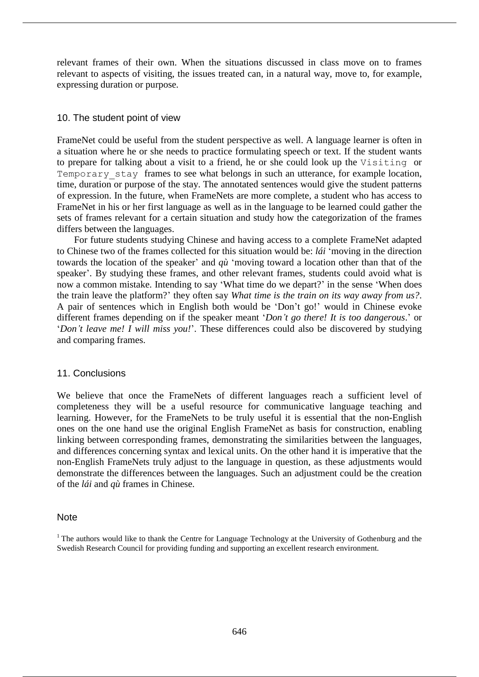relevant frames of their own. When the situations discussed in class move on to frames relevant to aspects of visiting, the issues treated can, in a natural way, move to, for example, expressing duration or purpose.

## 10. The student point of view

FrameNet could be useful from the student perspective as well. A language learner is often in a situation where he or she needs to practice formulating speech or text. If the student wants to prepare for talking about a visit to a friend, he or she could look up the Visiting or Temporary stay frames to see what belongs in such an utterance, for example location, time, duration or purpose of the stay. The annotated sentences would give the student patterns of expression. In the future, when FrameNets are more complete, a student who has access to FrameNet in his or her first language as well as in the language to be learned could gather the sets of frames relevant for a certain situation and study how the categorization of the frames differs between the languages.

For future students studying Chinese and having access to a complete FrameNet adapted to Chinese two of the frames collected for this situation would be: *lái* 'moving in the direction towards the location of the speaker' and *qù* 'moving toward a location other than that of the speaker'. By studying these frames, and other relevant frames, students could avoid what is now a common mistake. Intending to say 'What time do we depart?' in the sense 'When does the train leave the platform?' they often say *What time is the train on its way away from us?*. A pair of sentences which in English both would be 'Don't go!' would in Chinese evoke different frames depending on if the speaker meant '*Don't go there! It is too dangerous*.' or '*Don't leave me! I will miss you!*'. These differences could also be discovered by studying and comparing frames.

#### 11. Conclusions

We believe that once the FrameNets of different languages reach a sufficient level of completeness they will be a useful resource for communicative language teaching and learning. However, for the FrameNets to be truly useful it is essential that the non-English ones on the one hand use the original English FrameNet as basis for construction, enabling linking between corresponding frames, demonstrating the similarities between the languages, and differences concerning syntax and lexical units. On the other hand it is imperative that the non-English FrameNets truly adjust to the language in question, as these adjustments would demonstrate the differences between the languages. Such an adjustment could be the creation of the *lái* and *qù* frames in Chinese.

#### **Note**

<sup>&</sup>lt;sup>1</sup> The authors would like to thank the Centre for Language Technology at the University of Gothenburg and the Swedish Research Council for providing funding and supporting an excellent research environment.